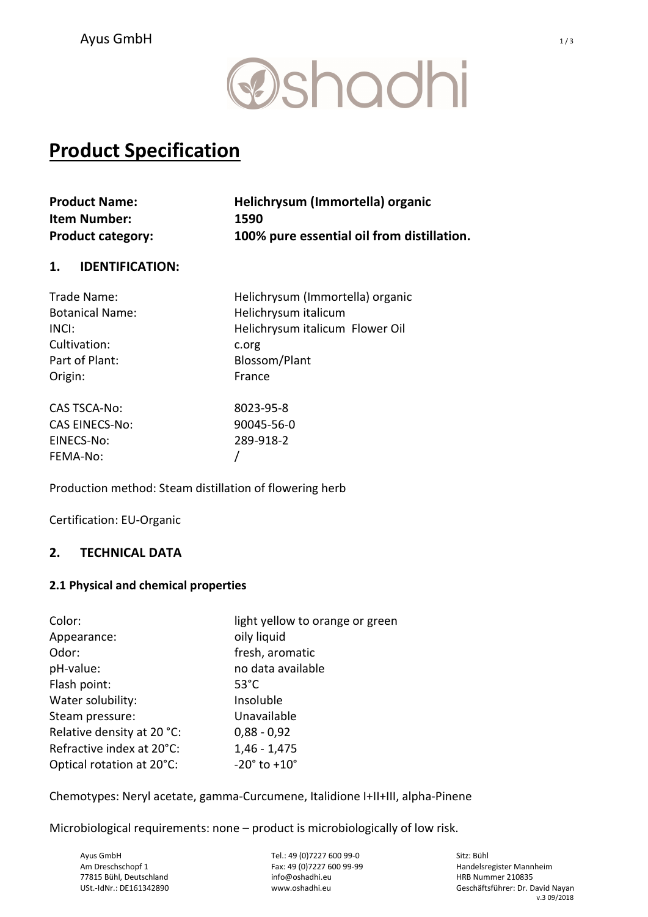## **@shadhi**

### Product Specification

| <b>Product Name:</b>     | Helichrysum (Immortella) organic           |
|--------------------------|--------------------------------------------|
| <b>Item Number:</b>      | 1590                                       |
| <b>Product category:</b> | 100% pure essential oil from distillation. |

### 1. IDENTIFICATION:

| Trade Name:            | Helichrysum (Immortella) organic |
|------------------------|----------------------------------|
| <b>Botanical Name:</b> | Helichrysum italicum             |
| INCI:                  | Helichrysum italicum Flower Oil  |
| Cultivation:           | c.org                            |
| Part of Plant:         | Blossom/Plant                    |
| Origin:                | France                           |
| <b>CAS TSCA-No:</b>    | 8023-95-8                        |
| <b>CAS EINECS-No:</b>  | 90045-56-0                       |
| EINECS-No:             | 289-918-2                        |
| FEMA-No:               |                                  |

Production method: Steam distillation of flowering herb

Certification: EU-Organic

### 2. TECHNICAL DATA

### 2.1 Physical and chemical properties

| Color:                     | light yellow to orange or green |
|----------------------------|---------------------------------|
| Appearance:                | oily liquid                     |
| Odor:                      | fresh, aromatic                 |
| pH-value:                  | no data available               |
| Flash point:               | $53^{\circ}$ C                  |
| Water solubility:          | Insoluble                       |
| Steam pressure:            | Unavailable                     |
| Relative density at 20 °C: | $0,88 - 0,92$                   |
| Refractive index at 20°C:  | $1,46 - 1,475$                  |
| Optical rotation at 20°C:  | $-20^{\circ}$ to $+10^{\circ}$  |

Chemotypes: Neryl acetate, gamma-Curcumene, Italidione I+II+III, alpha-Pinene

Microbiological requirements: none – product is microbiologically of low risk.

Ayus GmbH Am Dreschschopf 1 77815 Bühl, Deutschland USt.-IdNr.: DE161342890

Tel.: 49 (0)7227 600 99-0 Fax: 49 (0)7227 600 99-99 info@oshadhi.eu www.oshadhi.eu

Sitz: Bühl Handelsregister Mannheim HRB Nummer 210835 Geschäftsführer: Dr. David Nayan v.3 09/2018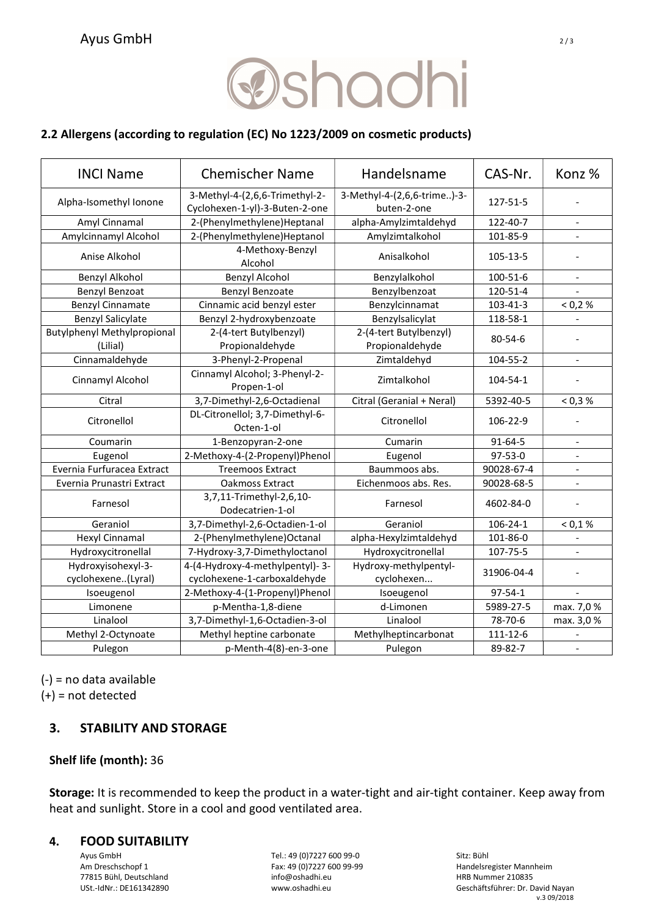# **@shadhi**

### 2.2 Allergens (according to regulation (EC) No 1223/2009 on cosmetic products)

| <b>INCI Name</b>                                                                           | <b>Chemischer Name</b>                        | Handelsname                                | CAS-Nr.        | Konz %                   |
|--------------------------------------------------------------------------------------------|-----------------------------------------------|--------------------------------------------|----------------|--------------------------|
| 3-Methyl-4-(2,6,6-Trimethyl-2-<br>Alpha-Isomethyl Ionone<br>Cyclohexen-1-yl)-3-Buten-2-one |                                               | 3-Methyl-4-(2,6,6-trime)-3-<br>buten-2-one | 127-51-5       |                          |
| Amyl Cinnamal                                                                              | 2-(Phenylmethylene)Heptanal                   | alpha-Amylzimtaldehyd                      | 122-40-7       |                          |
| Amylcinnamyl Alcohol                                                                       | 2-(Phenylmethylene)Heptanol                   | Amylzimtalkohol                            | 101-85-9       |                          |
| Anise Alkohol                                                                              | 4-Methoxy-Benzyl<br>Alcohol                   | Anisalkohol                                | 105-13-5       |                          |
| Benzyl Alkohol                                                                             | <b>Benzyl Alcohol</b>                         | Benzylalkohol                              | 100-51-6       | $\overline{a}$           |
| Benzyl Benzoat                                                                             | <b>Benzyl Benzoate</b>                        | Benzylbenzoat                              | 120-51-4       |                          |
| <b>Benzyl Cinnamate</b>                                                                    | Cinnamic acid benzyl ester                    | Benzylcinnamat                             | 103-41-3       | < 0.2 %                  |
| <b>Benzyl Salicylate</b>                                                                   | Benzyl 2-hydroxybenzoate                      | Benzylsalicylat                            | 118-58-1       |                          |
| <b>Butylphenyl Methylpropional</b><br>(Lilial)                                             | 2-(4-tert Butylbenzyl)<br>Propionaldehyde     | 2-(4-tert Butylbenzyl)<br>Propionaldehyde  | $80 - 54 - 6$  |                          |
| Cinnamaldehyde                                                                             | 3-Phenyl-2-Propenal                           | Zimtaldehyd                                | 104-55-2       | $\overline{\phantom{a}}$ |
| Cinnamyl Alcohol                                                                           | Cinnamyl Alcohol; 3-Phenyl-2-<br>Propen-1-ol  | Zimtalkohol                                | 104-54-1       |                          |
| Citral                                                                                     | 3,7-Dimethyl-2,6-Octadienal                   | Citral (Geranial + Neral)                  | 5392-40-5      | < 0.3 %                  |
| Citronellol                                                                                | DL-Citronellol; 3,7-Dimethyl-6-<br>Octen-1-ol | Citronellol                                | 106-22-9       |                          |
| Coumarin                                                                                   | 1-Benzopyran-2-one                            | Cumarin                                    | $91 - 64 - 5$  |                          |
| Eugenol                                                                                    | 2-Methoxy-4-(2-Propenyl)Phenol                | Eugenol                                    | 97-53-0        |                          |
| Evernia Furfuracea Extract                                                                 | <b>Treemoos Extract</b>                       | Baummoos abs.                              | 90028-67-4     |                          |
| Evernia Prunastri Extract                                                                  | Oakmoss Extract                               | Eichenmoos abs. Res.                       | 90028-68-5     |                          |
| Farnesol                                                                                   | 3,7,11-Trimethyl-2,6,10-<br>Dodecatrien-1-ol  | Farnesol                                   | 4602-84-0      |                          |
| Geraniol                                                                                   | 3,7-Dimethyl-2,6-Octadien-1-ol                | Geraniol                                   | $106 - 24 - 1$ | < 0.1 %                  |
| Hexyl Cinnamal                                                                             | 2-(Phenylmethylene)Octanal                    | alpha-Hexylzimtaldehyd                     | 101-86-0       |                          |
| Hydroxycitronellal                                                                         | 7-Hydroxy-3,7-Dimethyloctanol                 | Hydroxycitronellal                         | 107-75-5       |                          |
| Hydroxyisohexyl-3-                                                                         | 4-(4-Hydroxy-4-methylpentyl)-3-               | Hydroxy-methylpentyl-                      |                |                          |
| cyclohexene(Lyral)                                                                         | cyclohexene-1-carboxaldehyde                  |                                            | 31906-04-4     |                          |
| Isoeugenol                                                                                 | 2-Methoxy-4-(1-Propenyl)Phenol                | Isoeugenol                                 | $97 - 54 - 1$  |                          |
| Limonene                                                                                   | p-Mentha-1,8-diene                            | d-Limonen                                  | 5989-27-5      | max. 7,0%                |
| Linalool                                                                                   | 3,7-Dimethyl-1,6-Octadien-3-ol                | Linalool                                   | 78-70-6        | max. 3,0%                |
| Methyl 2-Octynoate                                                                         | Methyl heptine carbonate                      | Methylheptincarbonat                       | 111-12-6       |                          |
| Pulegon                                                                                    | p-Menth-4(8)-en-3-one                         | Pulegon                                    | 89-82-7        | $\equiv$                 |

(-) = no data available  $(+)$  = not detected

### 3. STABILITY AND STORAGE

### Shelf life (month): 36

Storage: It is recommended to keep the product in a water-tight and air-tight container. Keep away from heat and sunlight. Store in a cool and good ventilated area.

#### 4. FOOD SUITABILITY

Ayus GmbH Am Dreschschopf 1 77815 Bühl, Deutschland USt.-IdNr.: DE161342890

Tel.: 49 (0)7227 600 99-0 Fax: 49 (0)7227 600 99-99 info@oshadhi.eu www.oshadhi.eu

Sitz: Bühl Handelsregister Mannheim HRB Nummer 210835 Geschäftsführer: Dr. David Nayan v.3 09/2018